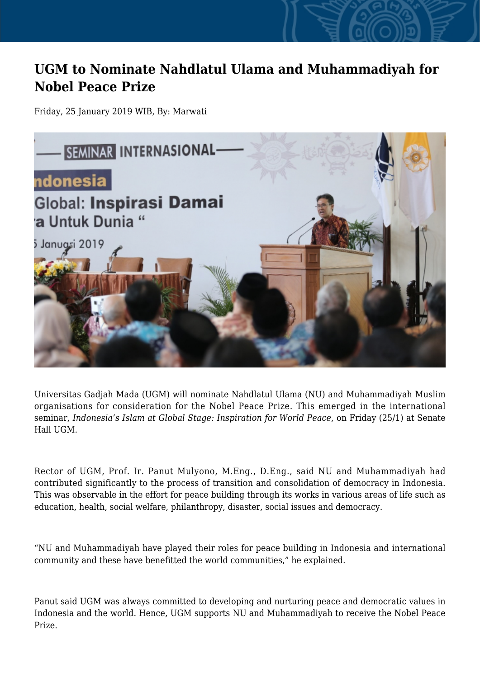## **UGM to Nominate Nahdlatul Ulama and Muhammadiyah for Nobel Peace Prize**

Friday, 25 January 2019 WIB, By: Marwati



Universitas Gadjah Mada (UGM) will nominate Nahdlatul Ulama (NU) and Muhammadiyah Muslim organisations for consideration for the Nobel Peace Prize. This emerged in the international seminar, *Indonesia's Islam at Global Stage: Inspiration for World Peace,* on Friday (25/1) at Senate Hall UGM.

Rector of UGM, Prof. Ir. Panut Mulyono, M.Eng., D.Eng., said NU and Muhammadiyah had contributed significantly to the process of transition and consolidation of democracy in Indonesia. This was observable in the effort for peace building through its works in various areas of life such as education, health, social welfare, philanthropy, disaster, social issues and democracy.

"NU and Muhammadiyah have played their roles for peace building in Indonesia and international community and these have benefitted the world communities," he explained.

Panut said UGM was always committed to developing and nurturing peace and democratic values in Indonesia and the world. Hence, UGM supports NU and Muhammadiyah to receive the Nobel Peace Prize.